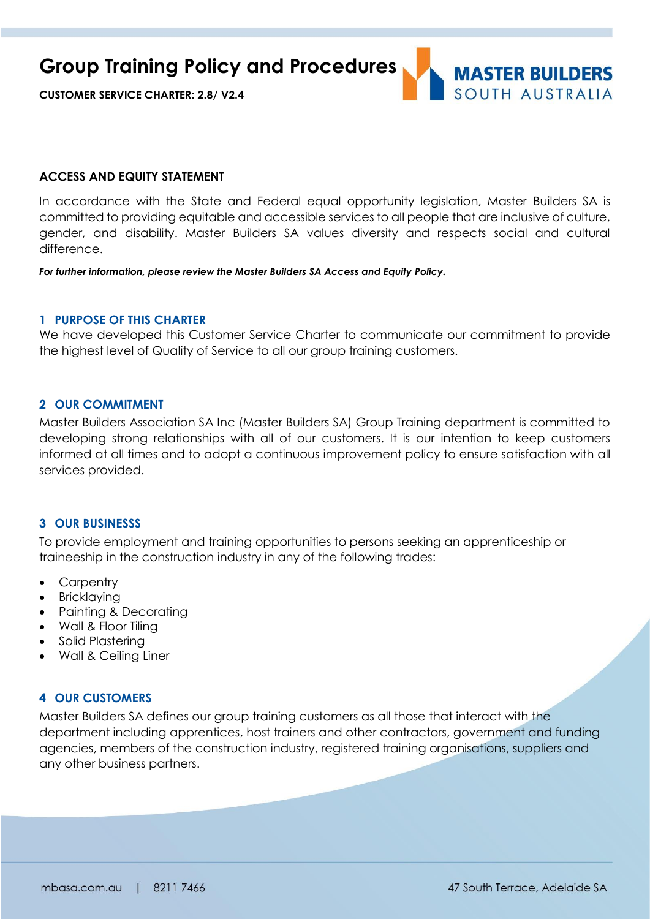**Group Training Policy and Procedures**



**CUSTOMER SERVICE CHARTER: 2.8/ V2.4**

### **ACCESS AND EQUITY STATEMENT**

In accordance with the State and Federal equal opportunity legislation, Master Builders SA is committed to providing equitable and accessible services to all people that are inclusive of culture, gender, and disability. Master Builders SA values diversity and respects social and cultural difference.

*For further information, please review the Master Builders SA Access and Equity Policy.*

## **1 PURPOSE OF THIS CHARTER**

We have developed this Customer Service Charter to communicate our commitment to provide the highest level of Quality of Service to all our group training customers.

# **2 OUR COMMITMENT**

Master Builders Association SA Inc (Master Builders SA) Group Training department is committed to developing strong relationships with all of our customers. It is our intention to keep customers informed at all times and to adopt a continuous improvement policy to ensure satisfaction with all services provided.

#### **3 OUR BUSINESSS**

To provide employment and training opportunities to persons seeking an apprenticeship or traineeship in the construction industry in any of the following trades:

- **Carpentry**
- Bricklaying
- Painting & Decorating
- Wall & Floor Tiling
- Solid Plastering
- Wall & Ceiling Liner

#### **4 OUR CUSTOMERS**

Master Builders SA defines our group training customers as all those that interact with the department including apprentices, host trainers and other contractors, government and funding agencies, members of the construction industry, registered training organisations, suppliers and any other business partners.